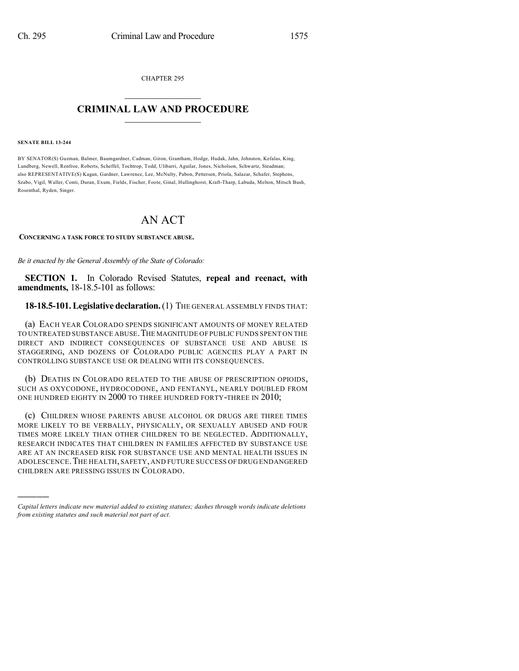CHAPTER 295  $\overline{\phantom{a}}$  . The set of the set of the set of the set of the set of the set of the set of the set of the set of the set of the set of the set of the set of the set of the set of the set of the set of the set of the set o

## **CRIMINAL LAW AND PROCEDURE**  $\frac{1}{2}$  ,  $\frac{1}{2}$  ,  $\frac{1}{2}$  ,  $\frac{1}{2}$  ,  $\frac{1}{2}$  ,  $\frac{1}{2}$  ,  $\frac{1}{2}$

#### **SENATE BILL 13-244**

)))))

BY SENATOR(S) Guzman, Balmer, Baumgardner, Cadman, Giron, Grantham, Hodge, Hudak, Jahn, Johnston, Kefalas, King, Lundberg, Newell, Renfroe, Roberts, Scheffel, Tochtrop, Todd, Ulibarri, Aguilar, Jones, Nicholson, Schwartz, Steadman; also REPRESENTATIVE(S) Kagan, Gardner, Lawrence, Lee, McNulty, Pabon, Pettersen, Priola, Salazar, Schafer, Stephens, Szabo, Vigil, Waller, Conti, Duran, Exum, Fields, Fischer, Foote, Ginal, Hullinghorst, Kraft-Tharp, Labuda, Melton, Mitsch Bush, Rosenthal, Ryden, Singer.

# AN ACT

#### **CONCERNING A TASK FORCE TO STUDY SUBSTANCE ABUSE.**

*Be it enacted by the General Assembly of the State of Colorado:*

**SECTION 1.** In Colorado Revised Statutes, **repeal and reenact, with amendments,** 18-18.5-101 as follows:

### **18-18.5-101.Legislative declaration.**(1) THE GENERAL ASSEMBLY FINDS THAT:

(a) EACH YEAR COLORADO SPENDS SIGNIFICANT AMOUNTS OF MONEY RELATED TO UNTREATED SUBSTANCE ABUSE.THE MAGNITUDE OF PUBLIC FUNDS SPENT ON THE DIRECT AND INDIRECT CONSEQUENCES OF SUBSTANCE USE AND ABUSE IS STAGGERING, AND DOZENS OF COLORADO PUBLIC AGENCIES PLAY A PART IN CONTROLLING SUBSTANCE USE OR DEALING WITH ITS CONSEQUENCES.

(b) DEATHS IN COLORADO RELATED TO THE ABUSE OF PRESCRIPTION OPIOIDS, SUCH AS OXYCODONE, HYDROCODONE, AND FENTANYL, NEARLY DOUBLED FROM ONE HUNDRED EIGHTY IN 2000 TO THREE HUNDRED FORTY-THREE IN 2010;

(c) CHILDREN WHOSE PARENTS ABUSE ALCOHOL OR DRUGS ARE THREE TIMES MORE LIKELY TO BE VERBALLY, PHYSICALLY, OR SEXUALLY ABUSED AND FOUR TIMES MORE LIKELY THAN OTHER CHILDREN TO BE NEGLECTED. ADDITIONALLY, RESEARCH INDICATES THAT CHILDREN IN FAMILIES AFFECTED BY SUBSTANCE USE ARE AT AN INCREASED RISK FOR SUBSTANCE USE AND MENTAL HEALTH ISSUES IN ADOLESCENCE.THE HEALTH, SAFETY, AND FUTURE SUCCESS OF DRUG ENDANGERED CHILDREN ARE PRESSING ISSUES IN COLORADO.

*Capital letters indicate new material added to existing statutes; dashes through words indicate deletions from existing statutes and such material not part of act.*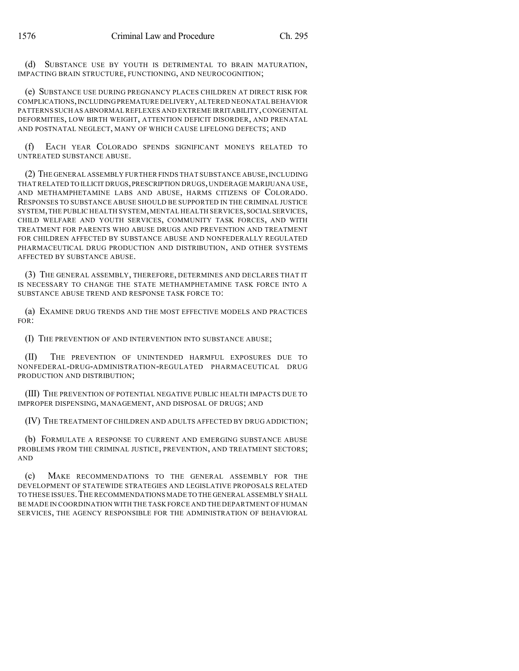(d) SUBSTANCE USE BY YOUTH IS DETRIMENTAL TO BRAIN MATURATION, IMPACTING BRAIN STRUCTURE, FUNCTIONING, AND NEUROCOGNITION;

(e) SUBSTANCE USE DURING PREGNANCY PLACES CHILDREN AT DIRECT RISK FOR COMPLICATIONS,INCLUDINGPREMATURE DELIVERY,ALTERED NEONATAL BEHAVIOR PATTERNS SUCH AS ABNORMAL REFLEXES AND EXTREME IRRITABILITY,CONGENITAL DEFORMITIES, LOW BIRTH WEIGHT, ATTENTION DEFICIT DISORDER, AND PRENATAL AND POSTNATAL NEGLECT, MANY OF WHICH CAUSE LIFELONG DEFECTS; AND

(f) EACH YEAR COLORADO SPENDS SIGNIFICANT MONEYS RELATED TO UNTREATED SUBSTANCE ABUSE.

(2) THE GENERAL ASSEMBLY FURTHER FINDS THAT SUBSTANCE ABUSE,INCLUDING THATRELATED TO ILLICIT DRUGS,PRESCRIPTION DRUGS,UNDERAGE MARIJUANA USE, AND METHAMPHETAMINE LABS AND ABUSE, HARMS CITIZENS OF COLORADO. RESPONSES TO SUBSTANCE ABUSE SHOULD BE SUPPORTED IN THE CRIMINAL JUSTICE SYSTEM, THE PUBLIC HEALTH SYSTEM, MENTAL HEALTH SERVICES, SOCIAL SERVICES, CHILD WELFARE AND YOUTH SERVICES, COMMUNITY TASK FORCES, AND WITH TREATMENT FOR PARENTS WHO ABUSE DRUGS AND PREVENTION AND TREATMENT FOR CHILDREN AFFECTED BY SUBSTANCE ABUSE AND NONFEDERALLY REGULATED PHARMACEUTICAL DRUG PRODUCTION AND DISTRIBUTION, AND OTHER SYSTEMS AFFECTED BY SUBSTANCE ABUSE.

(3) THE GENERAL ASSEMBLY, THEREFORE, DETERMINES AND DECLARES THAT IT IS NECESSARY TO CHANGE THE STATE METHAMPHETAMINE TASK FORCE INTO A SUBSTANCE ABUSE TREND AND RESPONSE TASK FORCE TO:

(a) EXAMINE DRUG TRENDS AND THE MOST EFFECTIVE MODELS AND PRACTICES FOR:

(I) THE PREVENTION OF AND INTERVENTION INTO SUBSTANCE ABUSE;

(II) THE PREVENTION OF UNINTENDED HARMFUL EXPOSURES DUE TO NONFEDERAL-DRUG-ADMINISTRATION-REGULATED PHARMACEUTICAL DRUG PRODUCTION AND DISTRIBUTION;

(III) THE PREVENTION OF POTENTIAL NEGATIVE PUBLIC HEALTH IMPACTS DUE TO IMPROPER DISPENSING, MANAGEMENT, AND DISPOSAL OF DRUGS; AND

(IV) THE TREATMENT OF CHILDREN AND ADULTS AFFECTED BY DRUG ADDICTION;

(b) FORMULATE A RESPONSE TO CURRENT AND EMERGING SUBSTANCE ABUSE PROBLEMS FROM THE CRIMINAL JUSTICE, PREVENTION, AND TREATMENT SECTORS; AND

(c) MAKE RECOMMENDATIONS TO THE GENERAL ASSEMBLY FOR THE DEVELOPMENT OF STATEWIDE STRATEGIES AND LEGISLATIVE PROPOSALS RELATED TO THESE ISSUES.THE RECOMMENDATIONS MADE TO THE GENERAL ASSEMBLY SHALL BE MADE IN COORDINATION WITH THE TASK FORCE AND THE DEPARTMENT OF HUMAN SERVICES, THE AGENCY RESPONSIBLE FOR THE ADMINISTRATION OF BEHAVIORAL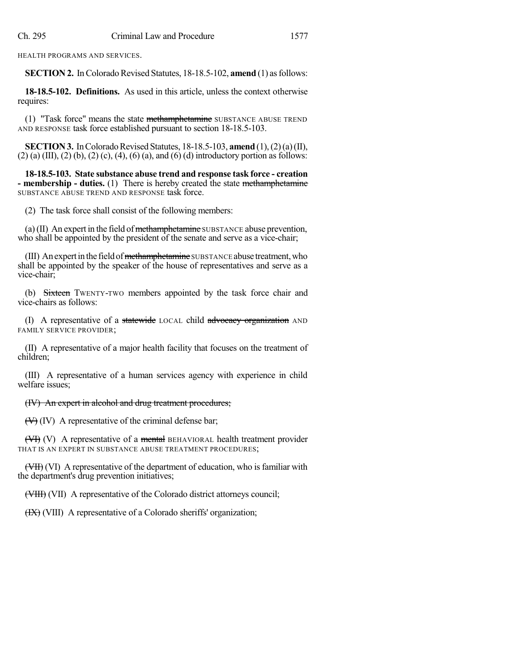HEALTH PROGRAMS AND SERVICES.

**SECTION 2.** In Colorado Revised Statutes, 18-18.5-102, **amend** (1) as follows:

**18-18.5-102. Definitions.** As used in this article, unless the context otherwise requires:

(1) "Task force" means the state methamphetamine SUBSTANCE ABUSE TREND AND RESPONSE task force established pursuant to section 18-18.5-103.

**SECTION 3.** In Colorado Revised Statutes, 18-18.5-103, **amend** (1), (2) (a) (II),  $(2)$  (a) (III), (2) (b), (2) (c), (4), (6) (a), and (6) (d) introductory portion as follows:

**18-18.5-103. State substance abuse trend and response task force - creation - membership - duties.** (1) There is hereby created the state methamphetamine SUBSTANCE ABUSE TREND AND RESPONSE task force.

(2) The task force shall consist of the following members:

(a)  $(II)$  An expert in the field of methamphetamine SUBSTANCE abuse prevention, who shall be appointed by the president of the senate and serve as a vice-chair;

(III) An expert in the field of methamphetamine SUBSTANCE abuse treatment, who shall be appointed by the speaker of the house of representatives and serve as a vice-chair;

(b) Sixteen TWENTY-TWO members appointed by the task force chair and vice-chairs as follows:

(I) A representative of a statewide LOCAL child advocacy organization AND FAMILY SERVICE PROVIDER;

(II) A representative of a major health facility that focuses on the treatment of children;

(III) A representative of a human services agency with experience in child welfare issues;

## (IV) An expert in alcohol and drug treatment procedures;

 $(\forall \theta)$  (IV) A representative of the criminal defense bar;

 $(\forall$ H $)$  (V) A representative of a mental BEHAVIORAL health treatment provider THAT IS AN EXPERT IN SUBSTANCE ABUSE TREATMENT PROCEDURES;

(VII) A representative of the department of education, who is familiar with the department's drug prevention initiatives;

(VIII) (VII) A representative of the Colorado district attorneys council;

(HX) (VIII) A representative of a Colorado sheriffs' organization;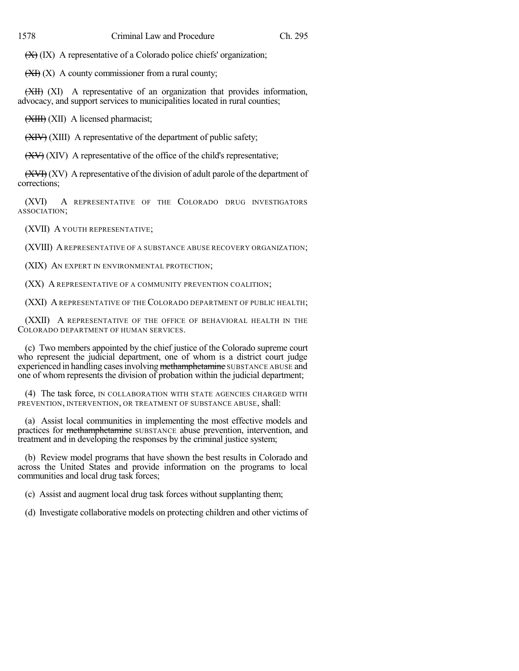$(X)$  (IX) A representative of a Colorado police chiefs' organization;

 $\left(\frac{X}{X}\right)$  (X) A county commissioner from a rural county;

(XII) (XI) A representative of an organization that provides information, advocacy, and support services to municipalities located in rural counties;

(XIII) (XII) A licensed pharmacist;

(XIV) (XIII) A representative of the department of public safety;

 $(XV)$  (XIV) A representative of the office of the child's representative;

 $(XV)$  A representative of the division of adult parole of the department of corrections;

(XVI) A REPRESENTATIVE OF THE COLORADO DRUG INVESTIGATORS ASSOCIATION;

(XVII) A YOUTH REPRESENTATIVE;

(XVIII) AREPRESENTATIVE OF A SUBSTANCE ABUSE RECOVERY ORGANIZATION;

(XIX) AN EXPERT IN ENVIRONMENTAL PROTECTION;

(XX) A REPRESENTATIVE OF A COMMUNITY PREVENTION COALITION;

(XXI) A REPRESENTATIVE OF THE COLORADO DEPARTMENT OF PUBLIC HEALTH;

(XXII) A REPRESENTATIVE OF THE OFFICE OF BEHAVIORAL HEALTH IN THE COLORADO DEPARTMENT OF HUMAN SERVICES.

(c) Two members appointed by the chief justice of the Colorado supreme court who represent the judicial department, one of whom is a district court judge experienced in handling cases involving methamphetamine SUBSTANCE ABUSE and one of whom represents the division of probation within the judicial department;

(4) The task force, IN COLLABORATION WITH STATE AGENCIES CHARGED WITH PREVENTION, INTERVENTION, OR TREATMENT OF SUBSTANCE ABUSE, shall:

(a) Assist local communities in implementing the most effective models and practices for methamphetamine SUBSTANCE abuse prevention, intervention, and treatment and in developing the responses by the criminal justice system;

(b) Review model programs that have shown the best results in Colorado and across the United States and provide information on the programs to local communities and local drug task forces;

(c) Assist and augment local drug task forces without supplanting them;

(d) Investigate collaborative models on protecting children and other victims of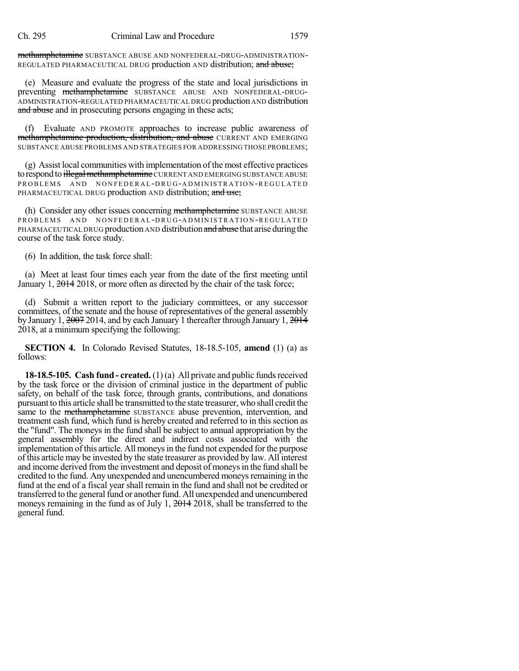methamphetamine SUBSTANCE ABUSE AND NONFEDERAL-DRUG-ADMINISTRATION-REGULATED PHARMACEUTICAL DRUG production AND distribution; and abuse;

(e) Measure and evaluate the progress of the state and local jurisdictions in preventing methamphetamine SUBSTANCE ABUSE AND NONFEDERAL-DRUG-ADMINISTRATION-REGULATED PHARMACEUTICAL DRUG production AND distribution and abuse and in prosecuting persons engaging in these acts;

(f) Evaluate AND PROMOTE approaches to increase public awareness of methamphetamine production, distribution, and abuse CURRENT AND EMERGING SUBSTANCE ABUSE PROBLEMS AND STRATEGIES FOR ADDRESSING THOSE PROBLEMS;

(g) Assist local communities with implementation of the most effective practices to respond to <del>illegal methamphetamine</del> CURRENT AND EMERGING SUBSTANCE ABUSE PROBLEMS AND NONFEDERAL-DRUG-ADMINISTRATION-REGULATED PHARMACEUTICAL DRUG production AND distribution; and use;

(h) Consider any other issues concerning methamphetamine SUBSTANCE ABUSE PROBLEMS AND NONFEDERAL-DRUG-ADMINISTRATION-REGULATED PHARMACEUTICAL DRUG production AND distribution and abuse that arise during the course of the task force study.

(6) In addition, the task force shall:

(a) Meet at least four times each year from the date of the first meeting until January 1, 2014 2018, or more often as directed by the chair of the task force;

(d) Submit a written report to the judiciary committees, or any successor committees, of the senate and the house of representatives of the general assembly by January 1, 2007 2014, and by each January 1 thereafter through January 1, 2014 2018, at a minimum specifying the following:

**SECTION 4.** In Colorado Revised Statutes, 18-18.5-105, **amend** (1) (a) as follows:

**18-18.5-105. Cash fund - created.** (1) (a) All private and public fundsreceived by the task force or the division of criminal justice in the department of public safety, on behalf of the task force, through grants, contributions, and donations pursuant to this article shall be transmitted to the state treasurer, who shall credit the same to the methamphetamine SUBSTANCE abuse prevention, intervention, and treatment cash fund, which fund is hereby created and referred to in this section as the "fund". The moneys in the fund shall be subject to annual appropriation by the general assembly for the direct and indirect costs associated with the implementation ofthis article. All moneysin the fund not expended for the purpose of this article may be invested by the state treasurer as provided by law. All interest and income derived fromthe investment and deposit of moneysin the fund shall be credited to the fund. Any unexpended and unencumbered moneys remaining in the fund at the end of a fiscal year shall remain in the fund and shall not be credited or transferred to the general fund or another fund. All unexpended and unencumbered moneys remaining in the fund as of July 1, 2014 2018, shall be transferred to the general fund.